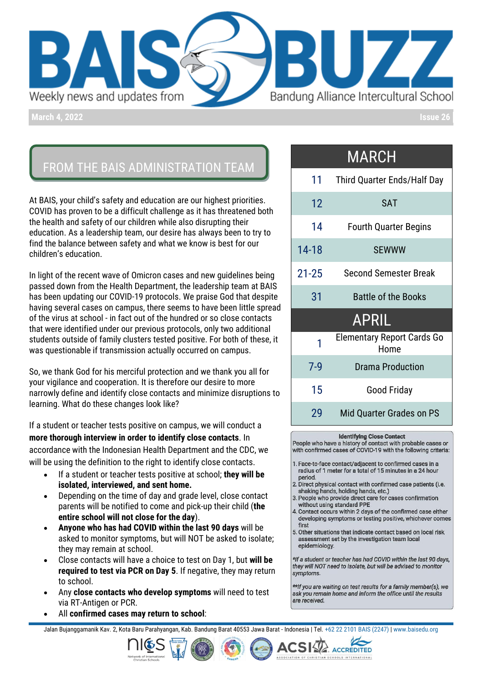

**March 4, 2022 Issue 26**

# FROM THE BAIS ADMINISTRATION TEAM

At BAIS, your child's safety and education are our highest priorities. COVID has proven to be a difficult challenge as it has threatened both the health and safety of our children while also disrupting their education. As a leadership team, our desire has always been to try to find the balance between safety and what we know is best for our children's education.

In light of the recent wave of Omicron cases and new guidelines being passed down from the Health Department, the leadership team at BAIS has been updating our COVID-19 protocols. We praise God that despite having several cases on campus, there seems to have been little spread of the virus at school - in fact out of the hundred or so close contacts that were identified under our previous protocols, only two additional students outside of family clusters tested positive. For both of these, it was questionable if transmission actually occurred on campus.

So, we thank God for his merciful protection and we thank you all for your vigilance and cooperation. It is therefore our desire to more narrowly define and identify close contacts and minimize disruptions to learning. What do these changes look like?

If a student or teacher tests positive on campus, we will conduct a **more thorough interview in order to identify close contacts**. In accordance with the Indonesian Health Department and the CDC, we will be using the definition to the right to identify close contacts.

- If a student or teacher tests positive at school; **they will be isolated, interviewed, and sent home.**
- Depending on the time of day and grade level, close contact parents will be notified to come and pick-up their child (**the entire school will not close for the day**).
- **Anyone who has had COVID within the last 90 days** will be asked to monitor symptoms, but will NOT be asked to isolate; they may remain at school.
- Close contacts will have a choice to test on Day 1, but **will be required to test via PCR on Day 5**. If negative, they may return to school.
- Any **close contacts who develop symptoms** will need to test via RT-Antigen or PCR.
- All **confirmed cases may return to school**:

MARCH

| 11 Third Quarter Ends/Half Day     |
|------------------------------------|
| <b>SAT</b>                         |
| <b>Fourth Quarter Begins</b>       |
| <b>SEWWW</b>                       |
| <b>Second Semester Break</b>       |
| <b>Battle of the Books</b>         |
| <b>APRIL</b>                       |
| Elementary Report Cards Go<br>Home |
| <b>Drama Production</b>            |
| Good Friday                        |
| Mid Quarter Grades on PS           |
|                                    |

### **Identifying Close Contact**

People who have a history of contact with probable cases or with confirmed cases of COVID-19 with the following criteria:

- 1. Face-to-face contact/adjacent to confirmed cases in a radius of 1 meter for a total of 15 minutes in a 24 hour period
- 2. Direct physical contact with confirmed case patients (i.e. shaking hands, holding hands, etc.)
- People who provide direct care for cases confirmation 3 without using standard PPE
- 4. Contact occurs within 2 days of the confirmed case either developing symptoms or testing positive, whichever comes first
- 5. Other situations that indicate contact based on local risk assessment set by the investigation team local epidemiology.

\*If a student or teacher has had COVID within the last 90 days, they will NOT need to isolate, but will be advised to monitor symptoms.

\*\* If you are waiting on test results for a family member(s), we ask you remain home and inform the office until the results are received

**ISTIAN SCHOOLS INTERNATIONAL** 

Jalan Bujanggamanik Kav. 2, Kota Baru Parahyangan, Kab. Bandung Barat 40553 Jawa Barat - Indonesia | Tel[. +62 22 2101 BAIS \(2247\)](https://wa.me/622221012247) [| www.baisedu.org](http://www.baisedu.org/)



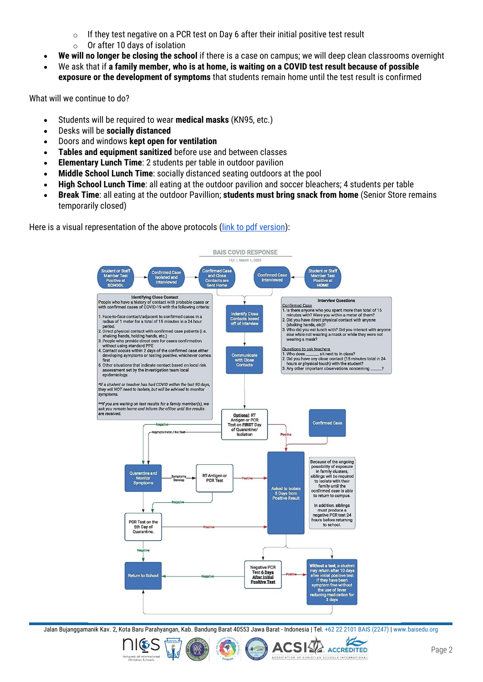- $\circ$  If they test negative on a PCR test on Day 6 after their initial positive test result
- $\circ$  Or after 10 davs of isolation
- **We will no longer be closing the school** if there is a case on campus; we will deep clean classrooms overnight
- We ask that if **a family member, who is at home, is waiting on a COVID test result because of possible exposure or the development of symptoms** that students remain home until the test result is confirmed

What will we continue to do?

- Students will be required to wear **medical masks** (KN95, etc.)
- Desks will be **socially distanced**
- Doors and windows **kept open for ventilation**
- **Tables and equipment sanitized** before use and between classes
- **Elementary Lunch Time**: 2 students per table in outdoor pavilion
- **Middle School Lunch Time**: socially distanced seating outdoors at the pool
- **High School Lunch Time**: all eating at the outdoor pavilion and soccer bleachers; 4 students per table
- **Break Time**: all eating at the outdoor Pavillion; **students must bring snack from home** (Senior Store remains temporarily closed)

Here is a visual representation of the above protocols [\(link to pdf version\)](https://drive.google.com/file/d/1gWtIyH7UxdNIzGZorQV4MpH-vTvYB1Wl/view?usp=sharing):



Jalan Bujanggamanik Kav. 2, Kota Baru Parahyangan, Kab. Bandung Barat 40553 Jawa Barat - Indonesia | Tel[. +62 22 2101 BAIS \(2247\)](https://wa.me/622221012247) [| www.baisedu.org](http://www.baisedu.org/)







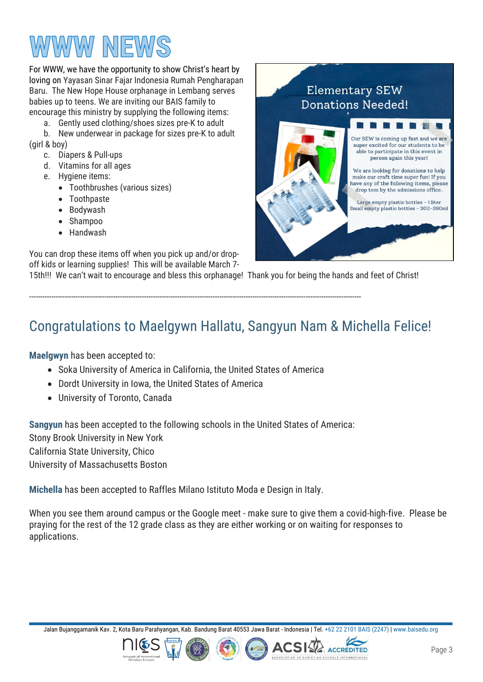# WWW NEW

For WWW, we have the opportunity to show Christ's heart by loving on Yayasan Sinar Fajar Indonesia Rumah Pengharapan Baru. The New Hope House orphanage in Lembang serves babies up to teens. We are inviting our BAIS family to encourage this ministry by supplying the following items:

a. Gently used clothing/shoes sizes pre-K to adult

b. New underwear in package for sizes pre-K to adult (girl & boy)

- c. Diapers & Pull-ups
- d. Vitamins for all ages
- e. Hygiene items:
	- Toothbrushes (various sizes)
	- Toothpaste
	- Bodywash
	- Shampoo
	- Handwash

You can drop these items off when you pick up and/or dropoff kids or learning supplies! This will be available March 7-

15th!!! We can't wait to encourage and bless this orphanage! Thank you for being the hands and feet of Christ!



# Congratulations to Maelgywn Hallatu, Sangyun Nam & Michella Felice!

**Maelgwyn** has been accepted to:

• Soka University of America in California, the United States of America

------------------------------------------------------------------------------------------------------------------------------------------------------

- Dordt University in Iowa, the United States of America
- University of Toronto, Canada

**Sangyun** has been accepted to the following schools in the United States of America: Stony Brook University in New York California State University, Chico University of Massachusetts Boston

**Michella** has been accepted to Raffles Milano Istituto Moda e Design in Italy.

When you see them around campus or the Google meet - make sure to give them a covid-high-five. Please be praying for the rest of the 12 grade class as they are either working or on waiting for responses to applications.

Jalan Bujanggamanik Kav. 2, Kota Baru Parahyangan, Kab. Bandung Barat 40553 Jawa Barat - Indonesia | Tel[. +62 22 2101 BAIS \(2247\)](https://wa.me/622221012247) [| www.baisedu.org](http://www.baisedu.org/)

**ACSI ACCREDITED**